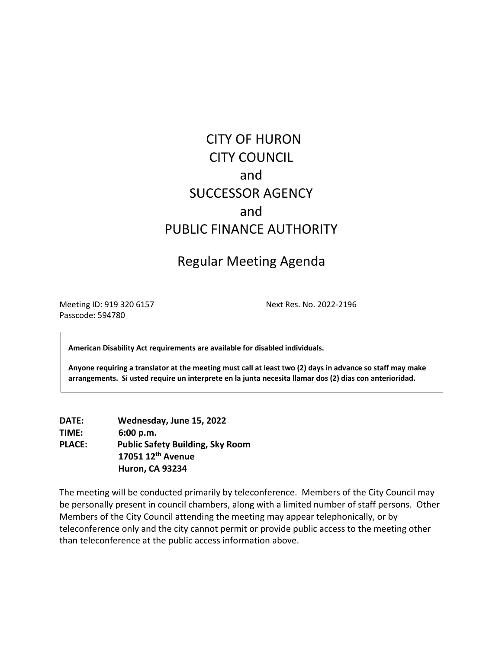# CITY OF HURON CITY COUNCIL and SUCCESSOR AGENCY and PUBLIC FINANCE AUTHORITY

# Regular Meeting Agenda

Meeting ID: 919 320 6157 Next Res. No. 2022-2196 Passcode: 594780

**American Disability Act requirements are available for disabled individuals.** 

**Anyone requiring a translator at the meeting must call at least two (2) days in advance so staff may make arrangements. Si usted require un interprete en la junta necesita llamar dos (2) dias con anterioridad.**

**DATE: Wednesday, June 15, 2022 TIME: 6:00 p.m. PLACE: Public Safety Building, Sky Room 17051 12th Avenue Huron, CA 93234**

The meeting will be conducted primarily by teleconference. Members of the City Council may be personally present in council chambers, along with a limited number of staff persons. Other Members of the City Council attending the meeting may appear telephonically, or by teleconference only and the city cannot permit or provide public access to the meeting other than teleconference at the public access information above.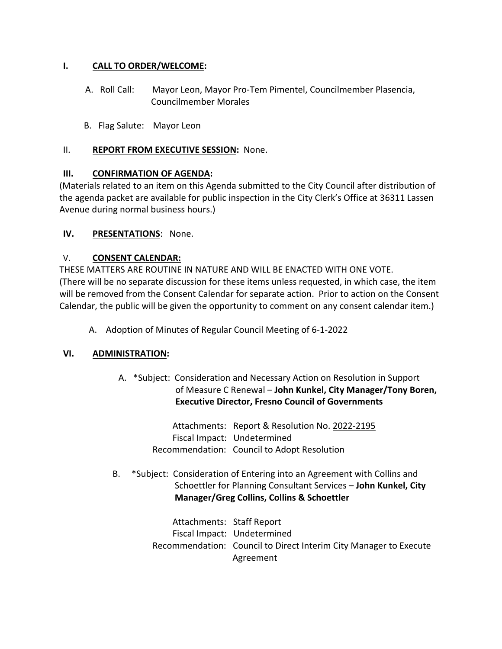#### **I. CALL TO ORDER/WELCOME:**

- A. Roll Call: Mayor Leon, Mayor Pro-Tem Pimentel, Councilmember Plasencia, Councilmember Morales
- B. Flag Salute: Mayor Leon

#### II. **REPORT FROM EXECUTIVE SESSION:** None.

#### **III. CONFIRMATION OF AGENDA:**

(Materials related to an item on this Agenda submitted to the City Council after distribution of the agenda packet are available for public inspection in the City Clerk's Office at 36311 Lassen Avenue during normal business hours.)

#### **IV. PRESENTATIONS**: None.

#### V. **CONSENT CALENDAR:**

THESE MATTERS ARE ROUTINE IN NATURE AND WILL BE ENACTED WITH ONE VOTE. (There will be no separate discussion for these items unless requested, in which case, the item will be removed from the Consent Calendar for separate action. Prior to action on the Consent Calendar, the public will be given the opportunity to comment on any consent calendar item.)

A. Adoption of Minutes of Regular Council Meeting of 6-1-2022

## **VI. ADMINISTRATION:**

A. \*Subject: Consideration and Necessary Action on Resolution in Support of Measure C Renewal – **John Kunkel, City Manager/Tony Boren, Executive Director, Fresno Council of Governments** 

> Attachments: Report & Resolution No. 2022-2195 Fiscal Impact: Undetermined Recommendation: Council to Adopt Resolution

 B. \*Subject: Consideration of Entering into an Agreement with Collins and Schoettler for Planning Consultant Services – **John Kunkel, City Manager/Greg Collins, Collins & Schoettler**

> Attachments: Staff Report Fiscal Impact: Undetermined Recommendation: Council to Direct Interim City Manager to Execute Agreement